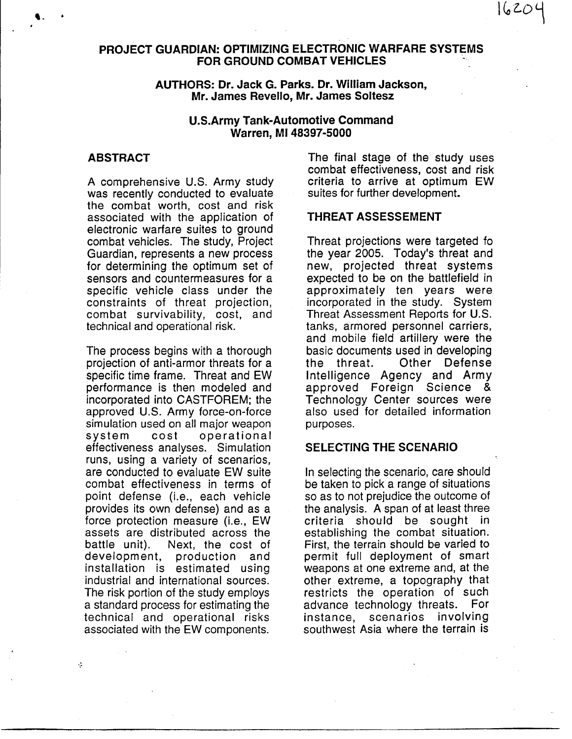# **PROJECT GUARDIAN: OPTIMIZING ELECTRONIC WARFARE SYSTEMS FOR GROUND COMBAT VEHICLES**

## AUTHORS: Dr. Jack G. Parks. Dr. William Jackson. Mr. James Revello, Mr. James Soltesz

## **U.S.Army Tank-Automotive Command** Warren, MI 48397-5000

## **ABSTRACT**

A comprehensive U.S. Army study was recently conducted to evaluate the combat worth, cost and risk associated with the application of electronic warfare suites to ground combat vehicles. The study, Project Guardian, represents a new process for determining the optimum set of sensors and countermeasures for a specific vehicle class under the constraints of threat projection, combat survivability, cost, and technical and operational risk.

The process begins with a thorough projection of anti-armor threats for a specific time frame. Threat and EW performance is then modeled and incorporated into CASTFOREM; the approved U.S. Army force-on-force simulation used on all major weapon system cost operational effectiveness analyses. Simulation runs, using a variety of scenarios, are conducted to evaluate EW suite combat effectiveness in terms of point defense (*i.e.*, each vehicle provides its own defense) and as a force protection measure (*i.e., EW* assets are distributed across the battle unit). Next, the cost of development, production and installation is estimated using industrial and international sources. The risk portion of the study employs a standard process for estimating the technical and operational risks associated with the EW components.

÷

The final stage of the study uses combat effectiveness, cost and risk criteria to arrive at optimum EW suites for further development.

20 ما ا

## THREAT ASSESSEMENT

Threat projections were targeted fo the year 2005. Today's threat and new, projected threat systems expected to be on the battlefield in approximately ten years were incorporated in the study. System Threat Assessment Reports for U.S. tanks, armored personnel carriers, and mobile field artillery were the basic documents used in developing Other Defense the threat. Intelligence Agency and Army approved Foreign Science & Technology Center sources were also used for detailed information purposes.

## **SELECTING THE SCENARIO**

In selecting the scenario, care should be taken to pick a range of situations so as to not prejudice the outcome of the analysis. A span of at least three criteria should be sought in establishing the combat situation. First, the terrain should be varied to permit full deployment of smart weapons at one extreme and, at the other extreme, a topography that restricts the operation of such advance technology threats. For scenarios involving instance. southwest Asia where the terrain is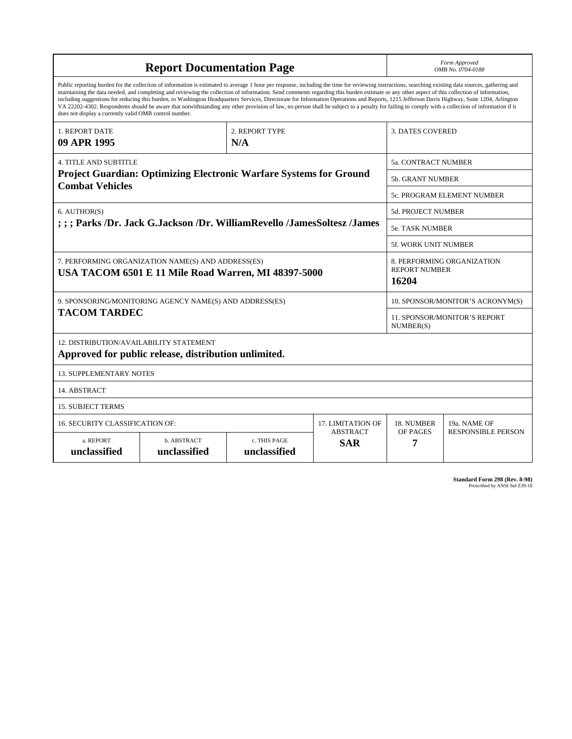| <b>Report Documentation Page</b>                                                                                                                                                                                                                                                                                                                                                                                                                                                                                                                                                                                                                                                                                                                                                                                                                                   |                             |                              |                               |                                   | Form Approved<br>OMB No. 0704-0188                          |  |
|--------------------------------------------------------------------------------------------------------------------------------------------------------------------------------------------------------------------------------------------------------------------------------------------------------------------------------------------------------------------------------------------------------------------------------------------------------------------------------------------------------------------------------------------------------------------------------------------------------------------------------------------------------------------------------------------------------------------------------------------------------------------------------------------------------------------------------------------------------------------|-----------------------------|------------------------------|-------------------------------|-----------------------------------|-------------------------------------------------------------|--|
| Public reporting burden for the collection of information is estimated to average 1 hour per response, including the time for reviewing instructions, searching existing data sources, gathering and<br>maintaining the data needed, and completing and reviewing the collection of information. Send comments regarding this burden estimate or any other aspect of this collection of information,<br>including suggestions for reducing this burden, to Washington Headquarters Services, Directorate for Information Operations and Reports, 1215 Jefferson Davis Highway, Suite 1204, Arlington<br>VA 22202-4302. Respondents should be aware that notwithstanding any other provision of law, no person shall be subject to a penalty for failing to comply with a collection of information if it<br>does not display a currently valid OMB control number. |                             |                              |                               |                                   |                                                             |  |
| 1. REPORT DATE<br>09 APR 1995                                                                                                                                                                                                                                                                                                                                                                                                                                                                                                                                                                                                                                                                                                                                                                                                                                      |                             | 2. REPORT TYPE<br>N/A        |                               | <b>3. DATES COVERED</b>           |                                                             |  |
| <b>4. TITLE AND SUBTITLE</b>                                                                                                                                                                                                                                                                                                                                                                                                                                                                                                                                                                                                                                                                                                                                                                                                                                       |                             |                              |                               |                                   | <b>5a. CONTRACT NUMBER</b>                                  |  |
| <b>Project Guardian: Optimizing Electronic Warfare Systems for Ground</b>                                                                                                                                                                                                                                                                                                                                                                                                                                                                                                                                                                                                                                                                                                                                                                                          |                             |                              |                               |                                   | <b>5b. GRANT NUMBER</b>                                     |  |
| <b>Combat Vehicles</b>                                                                                                                                                                                                                                                                                                                                                                                                                                                                                                                                                                                                                                                                                                                                                                                                                                             |                             |                              |                               | <b>5c. PROGRAM ELEMENT NUMBER</b> |                                                             |  |
| 6. AUTHOR(S)<br>; ; ; Parks /Dr. Jack G.Jackson /Dr. WilliamRevello /JamesSoltesz /James                                                                                                                                                                                                                                                                                                                                                                                                                                                                                                                                                                                                                                                                                                                                                                           |                             |                              |                               |                                   | <b>5d. PROJECT NUMBER</b>                                   |  |
|                                                                                                                                                                                                                                                                                                                                                                                                                                                                                                                                                                                                                                                                                                                                                                                                                                                                    |                             |                              |                               |                                   | <b>5e. TASK NUMBER</b>                                      |  |
|                                                                                                                                                                                                                                                                                                                                                                                                                                                                                                                                                                                                                                                                                                                                                                                                                                                                    |                             |                              |                               |                                   | <b>5f. WORK UNIT NUMBER</b>                                 |  |
| 7. PERFORMING ORGANIZATION NAME(S) AND ADDRESS(ES)<br>USA TACOM 6501 E 11 Mile Road Warren, MI 48397-5000                                                                                                                                                                                                                                                                                                                                                                                                                                                                                                                                                                                                                                                                                                                                                          |                             |                              |                               |                                   | 8. PERFORMING ORGANIZATION<br><b>REPORT NUMBER</b><br>16204 |  |
| 9. SPONSORING/MONITORING AGENCY NAME(S) AND ADDRESS(ES)                                                                                                                                                                                                                                                                                                                                                                                                                                                                                                                                                                                                                                                                                                                                                                                                            |                             |                              |                               |                                   | 10. SPONSOR/MONITOR'S ACRONYM(S)                            |  |
| <b>TACOM TARDEC</b>                                                                                                                                                                                                                                                                                                                                                                                                                                                                                                                                                                                                                                                                                                                                                                                                                                                |                             |                              |                               |                                   | <b>11. SPONSOR/MONITOR'S REPORT</b><br>NUMBER(S)            |  |
| 12. DISTRIBUTION/AVAILABILITY STATEMENT<br>Approved for public release, distribution unlimited.                                                                                                                                                                                                                                                                                                                                                                                                                                                                                                                                                                                                                                                                                                                                                                    |                             |                              |                               |                                   |                                                             |  |
| <b>13. SUPPLEMENTARY NOTES</b>                                                                                                                                                                                                                                                                                                                                                                                                                                                                                                                                                                                                                                                                                                                                                                                                                                     |                             |                              |                               |                                   |                                                             |  |
| 14. ABSTRACT                                                                                                                                                                                                                                                                                                                                                                                                                                                                                                                                                                                                                                                                                                                                                                                                                                                       |                             |                              |                               |                                   |                                                             |  |
| <b>15. SUBJECT TERMS</b>                                                                                                                                                                                                                                                                                                                                                                                                                                                                                                                                                                                                                                                                                                                                                                                                                                           |                             |                              |                               |                                   |                                                             |  |
| <b>16. SECURITY CLASSIFICATION OF:</b>                                                                                                                                                                                                                                                                                                                                                                                                                                                                                                                                                                                                                                                                                                                                                                                                                             |                             |                              | 17. LIMITATION OF             | 18. NUMBER                        | 19a. NAME OF                                                |  |
| a. REPORT<br>unclassified                                                                                                                                                                                                                                                                                                                                                                                                                                                                                                                                                                                                                                                                                                                                                                                                                                          | b. ABSTRACT<br>unclassified | c. THIS PAGE<br>unclassified | <b>ABSTRACT</b><br><b>SAR</b> | OF PAGES<br>7                     | <b>RESPONSIBLE PERSON</b>                                   |  |

**Standard Form 298 (Rev. 8-98)**<br>Prescribed by ANSI Std Z39-18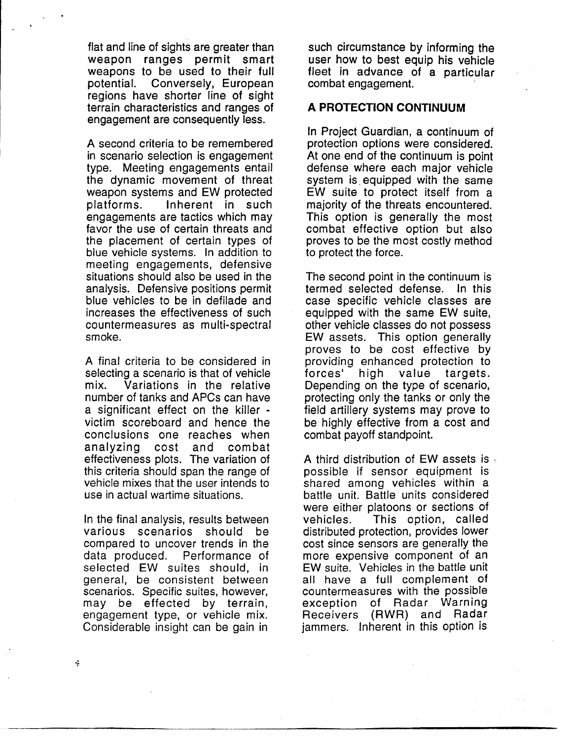flat and line of sights are greater than weapon ranges permit smart weapons to be used to their full Conversely, European potential. regions have shorter line of sight terrain characteristics and ranges of engagement are consequently less.

A second criteria to be remembered in scenario selection is engagement type. Meeting engagements entail the dynamic movement of threat weapon systems and EW protected platforms. Inherent in such engagements are tactics which may favor the use of certain threats and the placement of certain types of blue vehicle systems. In addition to meeting engagements, defensive situations should also be used in the analysis. Defensive positions permit blue vehicles to be in defilade and increases the effectiveness of such countermeasures as multi-spectral smoke.

A final criteria to be considered in selecting a scenario is that of vehicle  $mix$ Variations in the relative number of tanks and APCs can have a significant effect on the killer victim scoreboard and hence the conclusions one reaches when analyzing cost and combat effectiveness plots. The variation of this criteria should span the range of vehicle mixes that the user intends to use in actual wartime situations.

In the final analysis, results between various scenarios should be compared to uncover trends in the data produced. Performance of selected EW suites should, in general, be consistent between scenarios. Specific suites, however, may be effected by terrain, engagement type, or vehicle mix. Considerable insight can be gain in

such circumstance by informing the user how to best equip his vehicle fleet in advance of a particular combat engagement.

# A PROTECTION CONTINUUM

In Project Guardian, a continuum of protection options were considered. At one end of the continuum is point defense where each major vehicle system is equipped with the same EW suite to protect itself from a majority of the threats encountered. This option is generally the most combat effective option but also proves to be the most costly method to protect the force.

The second point in the continuum is termed selected defense. In this case specific vehicle classes are equipped with the same EW suite, other vehicle classes do not possess EW assets. This option generally proves to be cost effective by providing enhanced protection to forces' high value targets. Depending on the type of scenario, protecting only the tanks or only the field artillery systems may prove to be highly effective from a cost and combat payoff standpoint.

A third distribution of EW assets is . possible if sensor equipment is shared among vehicles within a battle unit. Battle units considered were either platoons or sections of This option, called vehicles. distributed protection, provides lower cost since sensors are generally the more expensive component of an EW suite. Vehicles in the battle unit all have a full complement of countermeasures with the possible exception of Radar Warning Receivers (RWR) and Radar jammers. Inherent in this option is

÷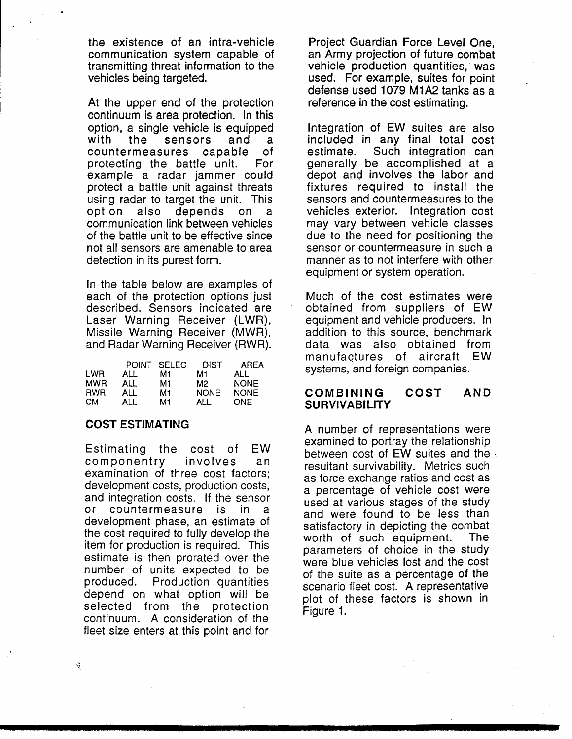the existence of an intra-vehicle communication system capable of transmitting threat information to the vehicles being targeted.

At the upper end of the protection continuum is area protection. In this option, a single vehicle is equipped with the sensors and a countermeasures capable 0f protecting the battle unit. For. example a radar jammer could protect a battle unit against threats using radar to target the unit. This depends on option also a communication link between vehicles of the battle unit to be effective since not all sensors are amenable to area detection in its purest form.

In the table below are examples of each of the protection options just described. Sensors indicated are Laser Warning Receiver (LWR), Missile Warning Receiver (MWR), and Radar Warning Receiver (RWR).

|            | <b>POINT</b> | <b>SELEC</b> | DIST        | AREA        |
|------------|--------------|--------------|-------------|-------------|
| <b>LWR</b> | ALL          | М1           | M1          | ALL         |
| <b>MWR</b> | ALL          | М1           | M2.         | <b>NONE</b> |
| <b>RWR</b> | ALL          | М1           | <b>NONE</b> | <b>NONE</b> |
| <b>CM</b>  | ALL          | М1           | ALL         | ONE.        |

## **COST ESTIMATING**

**EW** Estimating the cost of componentry involves an examination of three cost factors; development costs, production costs, and integration costs. If the sensor or countermeasure is in a development phase, an estimate of the cost required to fully develop the item for production is required. This estimate is then prorated over the number of units expected to be **Production quantities** produced. depend on what option will be selected from the protection continuum. A consideration of the fleet size enters at this point and for

Project Guardian Force Level One. an Army projection of future combat vehicle production quantities, was used. For example, suites for point defense used 1079 M1A2 tanks as a reference in the cost estimating.

Integration of EW suites are also included in any final total cost Such integration can estimate. generally be accomplished at a depot and involves the labor and fixtures required to install the sensors and countermeasures to the vehicles exterior. Integration cost may vary between vehicle classes due to the need for positioning the sensor or countermeasure in such a manner as to not interfere with other equipment or system operation.

Much of the cost estimates were obtained from suppliers of EW equipment and vehicle producers. In addition to this source, benchmark data was also obtained from manufactures of aircraft EW systems, and foreign companies.

#### **COMBINING COST AND SURVIVABILITY**

A number of representations were examined to portray the relationship between cost of EW suites and the resultant survivability. Metrics such as force exchange ratios and cost as a percentage of vehicle cost were used at various stages of the study and were found to be less than satisfactory in depicting the combat worth of such equipment. The l parameters of choice in the study were blue vehicles lost and the cost of the suite as a percentage of the scenario fleet cost. A representative plot of these factors is shown in Figure 1.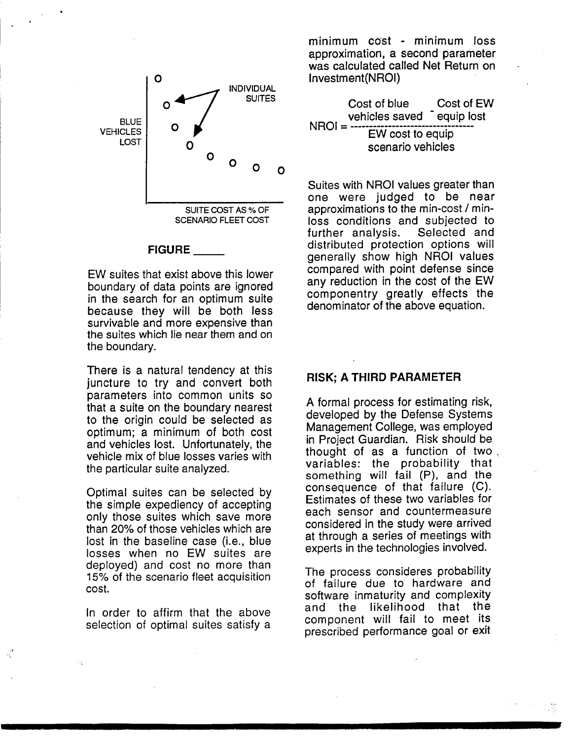

### **FIGURE**

EW suites that exist above this lower boundary of data points are ignored in the search for an optimum suite because they will be both less survivable and more expensive than the suites which lie near them and on the boundary.

There is a natural tendency at this juncture to try and convert both parameters into common units so that a suite on the boundary nearest to the origin could be selected as optimum; a minimum of both cost and vehicles lost. Unfortunately, the vehicle mix of blue losses varies with the particular suite analyzed.

Optimal suites can be selected by the simple expediency of accepting only those suites which save more than 20% of those vehicles which are lost in the baseline case (i.e., blue losses when no EW suites are deployed) and cost no more than 15% of the scenario fleet acquisition cost.

In order to affirm that the above selection of optimal suites satisfy a

minimum cost - minimum loss approximation, a second parameter was calculated called Net Return on Investment(NROI)

Cost of blue Cost of EW vehicles saved equip lost  $NROI = -$ EW cost to equip scenario vehicles

Suites with NROI values greater than one were judged to be near approximations to the min-cost / minloss conditions and subjected to further analysis. Selected and distributed protection options will generally show high NROI values compared with point defense since any reduction in the cost of the EW componentry greatly effects the denominator of the above equation.

## **RISK: A THIRD PARAMETER**

A formal process for estimating risk, developed by the Defense Systems Management College, was employed in Project Guardian. Risk should be thought of as a function of two. variables: the probability that something will fail (P), and the consequence of that failure (C). Estimates of these two variables for each sensor and countermeasure considered in the study were arrived at through a series of meetings with experts in the technologies involved.

The process consideres probability of failure due to hardware and software inmaturity and complexity and the likelihood that the component will fail to meet its prescribed performance goal or exit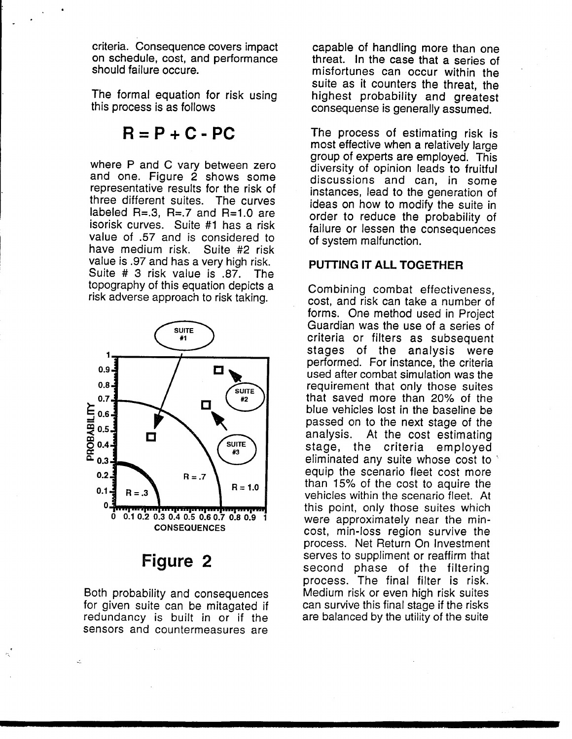criteria. Consequence covers impact on schedule, cost, and performance should failure occure.

The formal equation for risk using this process is as follows

# $B = P + C - PC$

where P and C vary between zero and one. Figure 2 shows some representative results for the risk of three different suites. The curves labeled  $R=.3$ ,  $R=.7$  and  $R=.10$  are isorisk curves. Suite #1 has a risk value of .57 and is considered to have medium risk. Suite #2 risk value is .97 and has a very high risk. Suite # 3 risk value is .87. The topography of this equation depicts a risk adverse approach to risk taking.



# Figure 2

Both probability and consequences for given suite can be mitagated if redundancy is built in or if the sensors and countermeasures are

capable of handling more than one threat. In the case that a series of misfortunes can occur within the suite as it counters the threat, the highest probability and greatest consequense is generally assumed.

The process of estimating risk is most effective when a relatively large group of experts are employed. This diversity of opinion leads to fruitful discussions and can, in some instances, lead to the generation of ideas on how to modify the suite in order to reduce the probability of failure or lessen the consequences of system malfunction.

## PUTTING IT ALL TOGETHER

Combining combat effectiveness. cost, and risk can take a number of forms. One method used in Project Guardian was the use of a series of criteria or filters as subsequent stages of the analysis were performed. For instance, the criteria used after combat simulation was the requirement that only those suites that saved more than 20% of the blue vehicles lost in the baseline be passed on to the next stage of the analysis. At the cost estimating stage, the criteria employed eliminated any suite whose cost to equip the scenario fleet cost more than 15% of the cost to aguire the vehicles within the scenario fleet. At this point, only those suites which were approximately near the mincost, min-loss region survive the process. Net Return On Investment serves to suppliment or reaffirm that second phase of the filtering process. The final filter is risk. Medium risk or even high risk suites can survive this final stage if the risks are balanced by the utility of the suite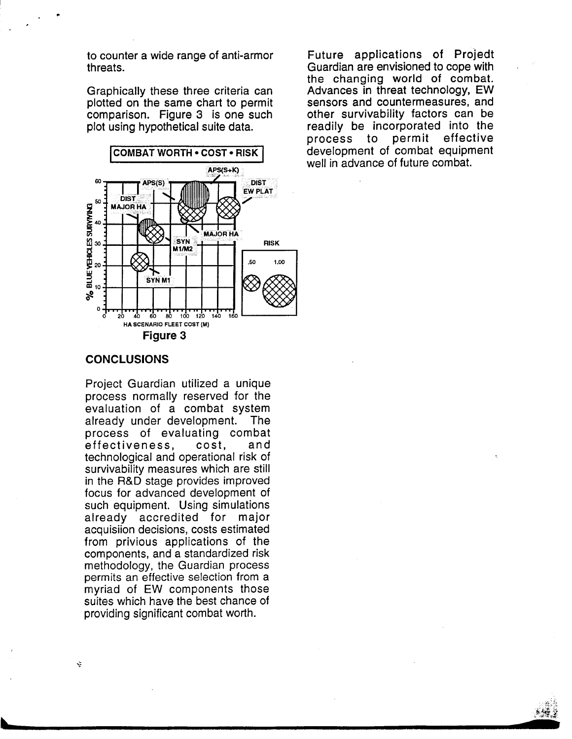to counter a wide range of anti-armor threats.

Graphically these three criteria can plotted on the same chart to permit comparison. Figure 3 is one such plot using hypothetical suite data.



Future applications of Projedt Guardian are envisioned to cope with the changing world of combat. Advances in threat technology, EW sensors and countermeasures, and other survivability factors can be readily be incorporated into the permit effective process to development of combat equipment well in advance of future combat.

### **CONCLUSIONS**

Project Guardian utilized a unique process normally reserved for the evaluation of a combat system already under development. The process of evaluating combat effectiveness. cost. and technological and operational risk of survivability measures which are still in the R&D stage provides improved focus for advanced development of such equipment. Using simulations already accredited for major acquisiion decisions, costs estimated from privious applications of the components, and a standardized risk methodology, the Guardian process permits an effective selection from a myriad of EW components those suites which have the best chance of providing significant combat worth.